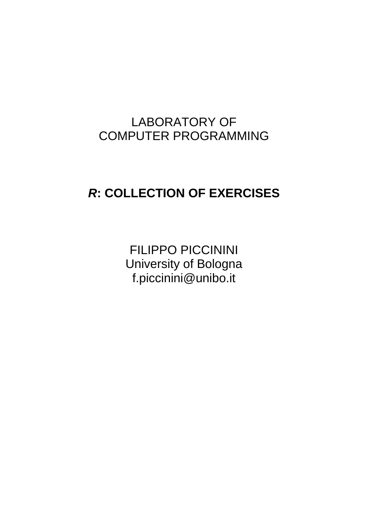# LABORATORY OF COMPUTER PROGRAMMING

# *R***: COLLECTION OF EXERCISES**

FILIPPO PICCININI University of Bologna f.piccinini@unibo.it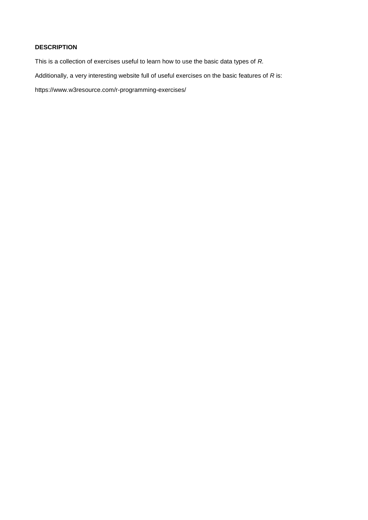## **DESCRIPTION**

This is a collection of exercises useful to learn how to use the basic data types of *R.*

Additionally, a very interesting website full of useful exercises on the basic features of *R* is:

https://www.w3resource.com/r-programming-exercises/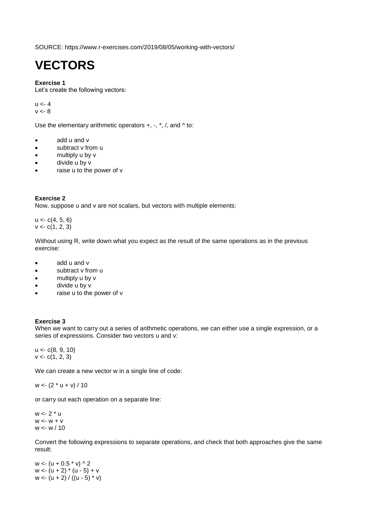SOURCE: https://www.r-exercises.com/2019/08/05/working-with-vectors/

# **VECTORS**

## **Exercise 1**

Let's create the following vectors:

 $u < -4$  $v < -8$ 

Use the elementary arithmetic operators  $+, -, *, /$ , and  $\wedge$  to:

- add u and v
- subtract v from u
- multiply u by v
- divide u by v
- raise u to the power of v

## **Exercise 2**

Now, suppose u and v are not scalars, but vectors with multiple elements:

 $u < c(4, 5, 6)$  $v < c(1, 2, 3)$ 

Without using R, write down what you expect as the result of the same operations as in the previous exercise:

- add u and v
- subtract v from u
- multiply u by v
- divide u by v
- raise u to the power of v

## **Exercise 3**

When we want to carry out a series of arithmetic operations, we can either use a single expression, or a series of expressions. Consider two vectors u and v:

u <- c(8, 9, 10)  $v < c(1, 2, 3)$ 

We can create a new vector w in a single line of code:

 $w < (2 * u + v) / 10$ 

or carry out each operation on a separate line:

w <- 2 \* u  $W \le W + V$ w <- w / 10

Convert the following expressions to separate operations, and check that both approaches give the same result:

 $w < (u + 0.5 * v)$  ^ 2  $w < (u + 2) * (u - 5) + v$ w <-  $(u + 2) / ((u - 5) * v)$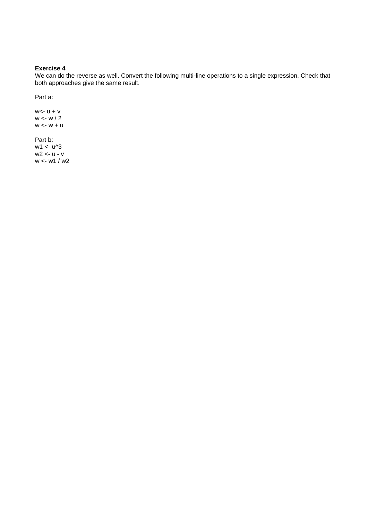## **Exercise 4**

We can do the reverse as well. Convert the following multi-line operations to a single expression. Check that both approaches give the same result.

Part a:

 $w < -u + v$ w <- w / 2  $w \leftarrow w + u$ 

Part b:  $w1 < u^3$ w2 <- u - v w <- w1 / w2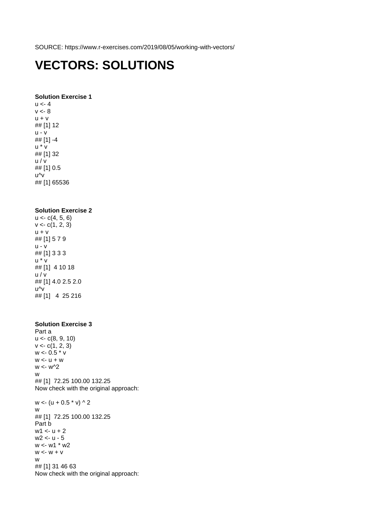SOURCE: https://www.r-exercises.com/2019/08/05/working-with-vectors/

## **VECTORS: SOLUTIONS**

#### **Solution Exercise 1**

 $u < -4$  $v < -8$  $u + v$ ## [1] 12 u - v ## [1] -4 u \* v ## [1] 32 u / v ## [1] 0.5 u^v ## [1] 65536

### **Solution Exercise 2**

 $u < c(4, 5, 6)$  $v < c(1, 2, 3)$  $u + v$ ## [1] 5 7 9 u - v ## [1] 3 3 3 u \* v ## [1] 4 10 18 u / v ## [1] 4.0 2.5 2.0 u^v ## [1] 4 25 216

#### **Solution Exercise 3** Part a

u <- c(8, 9, 10)  $v < c(1, 2, 3)$ w <- 0.5 \* v  $w < -u + w$  $w < w^2$ w ## [1] 72.25 100.00 132.25 Now check with the original approach:  $w < (u + 0.5 * v) \wedge 2$ w ## [1] 72.25 100.00 132.25 Part b  $w1 < -u + 2$ w2 <- u - 5 w <- w1 \* w2  $w \le -w + v$ w ## [1] 31 46 63 Now check with the original approach: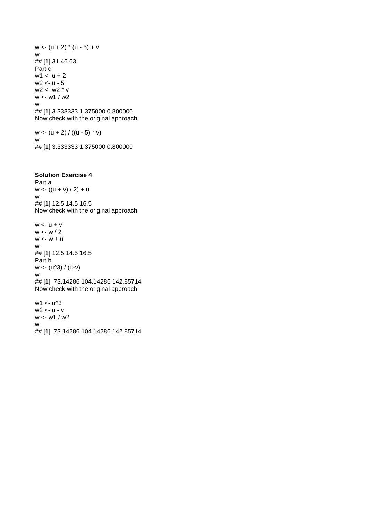$w < (u + 2) * (u - 5) + v$ w ## [1] 31 46 63 Part c  $w1 < -u + 2$ w2 <- u - 5 w2 <- w2 \* v w <- w1 / w2 w ## [1] 3.333333 1.375000 0.800000 Now check with the original approach:

 $w < - (u + 2) / ((u - 5) * v)$ w ## [1] 3.333333 1.375000 0.800000

## **Solution Exercise 4**

w <- w1 / w2

w

Part a  $w < ( (u + v) / 2) + u$ w ## [1] 12.5 14.5 16.5 Now check with the original approach:

 $w < -u + v$ w <- w / 2  $w \leftarrow w + u$ w ## [1] 12.5 14.5 16.5 Part b  $w < - (u \wedge 3) / (u-v)$ w ## [1] 73.14286 104.14286 142.85714 Now check with the original approach: w1 <- u^3 w2 <- u - v

## [1] 73.14286 104.14286 142.85714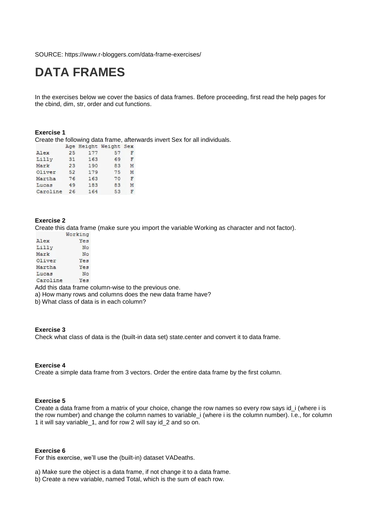SOURCE: https://www.r-bloggers.com/data-frame-exercises/

## **DATA FRAMES**

In the exercises below we cover the basics of data frames. Before proceeding, first read the help pages for the cbind, dim, str, order and cut functions.

#### **Exercise 1**

Create the following data frame, afterwards invert Sex for all individuals.

|          |    |     | Age height weight bex |   |
|----------|----|-----|-----------------------|---|
| Alex     | 25 | 177 | 57                    | F |
| Lilly    | 31 | 163 | 69                    | F |
| Mark     | 23 | 190 | 83                    | M |
| Oliver   | 52 | 179 | 75                    | M |
| Martha   | 76 | 163 | 70                    | F |
| Lucas    | 49 | 183 | 83                    | M |
| Caroline | 26 | 164 | 53                    | F |

## **Exercise 2**

Create this data frame (make sure you import the variable Working as character and not factor).

|          | Working |
|----------|---------|
| Alex     | Yes     |
| Lilly    | No      |
| Mark     | No      |
| Oliver   | Yes     |
| Martha   | Yes     |
| Lucas    | No      |
| Caroline | Yes     |

Add this data frame column-wise to the previous one.

a) How many rows and columns does the new data frame have?

b) What class of data is in each column?

#### **Exercise 3**

Check what class of data is the (built-in data set) state.center and convert it to data frame.

#### **Exercise 4**

Create a simple data frame from 3 vectors. Order the entire data frame by the first column.

#### **Exercise 5**

Create a data frame from a matrix of your choice, change the row names so every row says id\_i (where i is the row number) and change the column names to variable\_i (where i is the column number). I.e., for column 1 it will say variable\_1, and for row 2 will say id\_2 and so on.

#### **Exercise 6**

For this exercise, we'll use the (built-in) dataset VADeaths.

a) Make sure the object is a data frame, if not change it to a data frame.

b) Create a new variable, named Total, which is the sum of each row.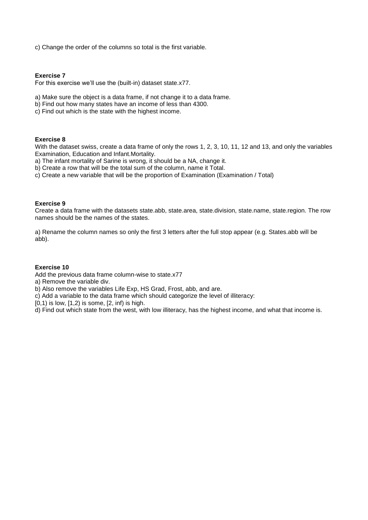c) Change the order of the columns so total is the first variable.

#### **Exercise 7**

For this exercise we'll use the (built-in) dataset state.x77.

- a) Make sure the object is a data frame, if not change it to a data frame.
- b) Find out how many states have an income of less than 4300.
- c) Find out which is the state with the highest income.

### **Exercise 8**

With the dataset swiss, create a data frame of only the rows 1, 2, 3, 10, 11, 12 and 13, and only the variables Examination, Education and Infant.Mortality.

- a) The infant mortality of Sarine is wrong, it should be a NA, change it.
- b) Create a row that will be the total sum of the column, name it Total.
- c) Create a new variable that will be the proportion of Examination (Examination / Total)

#### **Exercise 9**

Create a data frame with the datasets state.abb, state.area, state.division, state.name, state.region. The row names should be the names of the states.

a) Rename the column names so only the first 3 letters after the full stop appear (e.g. States.abb will be abb).

#### **Exercise 10**

Add the previous data frame column-wise to state.x77

- a) Remove the variable div.
- b) Also remove the variables Life Exp, HS Grad, Frost, abb, and are.
- c) Add a variable to the data frame which should categorize the level of illiteracy:
- $[0,1)$  is low,  $[1,2)$  is some,  $[2, \text{inf})$  is high.
- d) Find out which state from the west, with low illiteracy, has the highest income, and what that income is.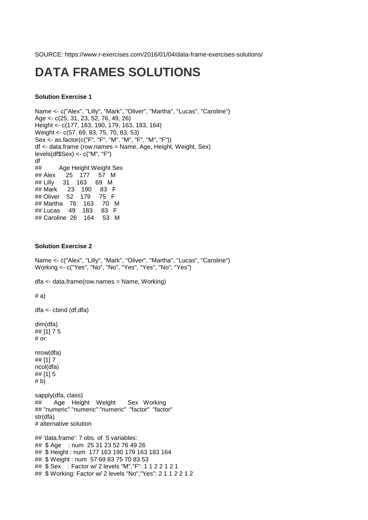SOURCE: https://www.r-exercises.com/2016/01/04/data-frame-exercises-solutions/

## **DATA FRAMES SOLUTIONS**

## **Solution Exercise 1**

Name <- c("Alex", "Lilly", "Mark", "Oliver", "Martha", "Lucas", "Caroline") Age <- c(25, 31, 23, 52, 76, 49, 26) Height <- c(177, 163, 190, 179, 163, 183, 164) Weight <- c(57, 69, 83, 75, 70, 83, 53) Sex <- as.factor(c("F", "F", "M", "M", "F", "M", "F")) df <- data.frame (row.names = Name, Age, Height, Weight, Sex) levels(df\$Sex) <- c("M", "F") df ## Age Height Weight Sex ## Alex 25 177 57 M ## Lilly 31 163 69 M ## Mark 23 190 83 F ## Oliver 52 179 75 F ## Martha 76 163 70 M ## Lucas 49 183 83 F ## Caroline 26 164 53 M

### **Solution Exercise 2**

Name <- c("Alex", "Lilly", "Mark", "Oliver", "Martha", "Lucas", "Caroline") Working <- c("Yes", "No", "No", "Yes", "Yes", "No", "Yes")

dfa <- data.frame(row.names = Name, Working)

# a)

dfa <- cbind (df,dfa)

dim(dfa) ## [1] 7 5 # or:

nrow(dfa) ## [1] 7 ncol(dfa) ## [1] 5 # b)

sapply(dfa, class) ## Age Height Weight Sex Working ## "numeric" "numeric" "numeric" "factor" "factor" str(dfa) # alternative solution

## 'data.frame': 7 obs. of 5 variables: ## \$ Age : num 25 31 23 52 76 49 26 ## \$ Height : num 177 163 190 179 163 183 164 ## \$ Weight : num 57 69 83 75 70 83 53 ## \$ Sex : Factor w/ 2 levels "M","F": 1 1 2 2 1 2 1 ## \$ Working: Factor w/ 2 levels "No","Yes": 2 1 1 2 2 1 2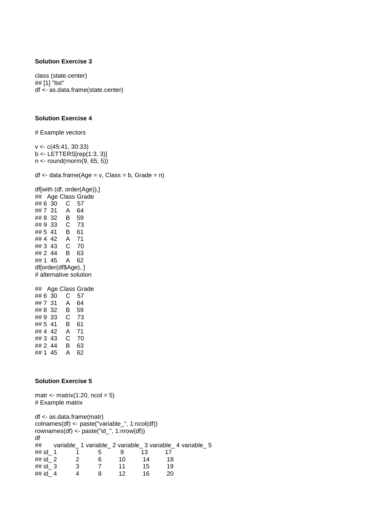class (state.center) ## [1] "list" df <- as.data.frame(state.center)

 $df \leq -$  data.frame(Age =  $v$ , Class =  $b$ , Grade =  $n$ )

### **Solution Exercise 4**

# Example vectors

v <- c(45:41, 30:33) b <- LETTERS[rep(1:3, 3)] n <- round(rnorm(9, 65, 5))

df[with (df, order(Age)),] ## Age Class Grade ## 6 30 C 57 ## 7 31 A 64 ## 8 32 B 59 ## 9 33 C 73 ## 5 41 B 61 ## 4 42 A 71 ## 3 43 C 70 ## 2 44 B 63 ## 1 45 A 62 df[order(df\$Age), ] # alternative solution ## Age Class Grade ## 6 30 C 57 ## 7 31 A 64 ## 8 32 B 59 ## 9 33 C 73 ## 5 41 B 61 ## 4 42 A 71 ## 3 43 C 70 ## 2 44 B 63 ## 1 45 A 62 **Solution Exercise 5** matr  $\langle$ - matrix(1:20, ncol = 5) # Example matrix df <- as.data.frame(matr) colnames(df) <- paste("variable\_", 1:ncol(df)) rownames(df) <- paste("id\_", 1:nrow(df)) df ## variable\_ 1 variable\_ 2 variable\_ 3 variable\_ 4 variable\_ 5 ## id 1 1 5 9 13 17 ## id 2 2 6 10 14 18 ## id 3 3 7 11 15 19 ## id 4 4 8 12 16 20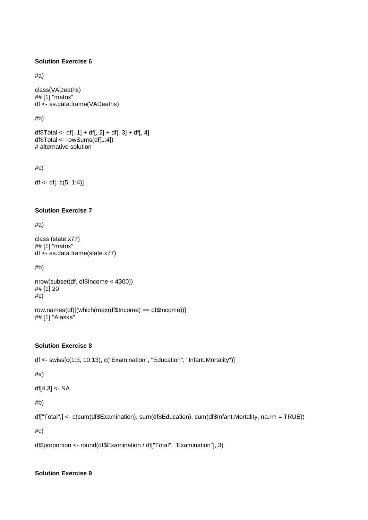#a)

class(VADeaths) ## [1] "matrix" df <- as.data.frame(VADeaths)

#b)

df  $Total < -df$ , 1 + df, 2 + df, 3 + df, 4 df\$Total <- rowSums(df[1:4]) # alternative solution

#c)

 $df \leftarrow df[, c(5, 1:4)]$ 

## **Solution Exercise 7**

#a)

class (state.x77) ## [1] "matrix" df <- as.data.frame(state.x77)

#b)

nrow(subset(df, df\$Income < 4300)) ## [1] 20 #c)

row.names(df)[(which(max(df\$Income) == df\$Income))] ## [1] "Alaska"

## **Solution Exercise 8**

df <- swiss[c(1:3, 10:13), c("Examination", "Education", "Infant.Mortality")]

#a)

 $df[4,3] < -NA$ 

#b)

df["Total",] <- c(sum(df\$Examination), sum(df\$Education), sum(df\$Infant.Mortality, na.rm = TRUE))

#c)

df\$proportion <- round(df\$Examination / df["Total", "Examination"], 3)

## **Solution Exercise 9**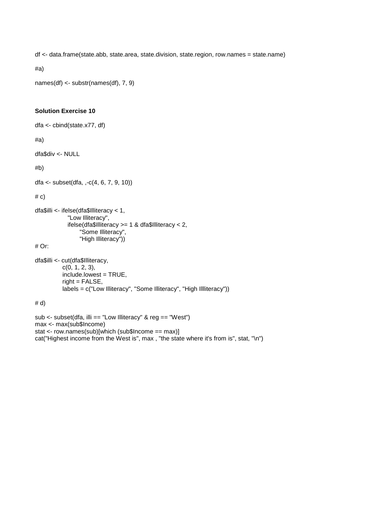df <- data.frame(state.abb, state.area, state.division, state.region, row.names = state.name)

#a)

names(df) <- substr(names(df), 7, 9)

## **Solution Exercise 10**

```
dfa <- cbind(state.x77, df)
```
#a)

dfa\$div <- NULL

#b)

dfa <- subset(dfa, ,-c(4, 6, 7, 9, 10))

 $# c)$ 

```
dfa$illi <- ifelse(dfa$Illiteracy < 1,
              "Low Illiteracy",
              ifelse(dfa$Illiteracy >= 1 & dfa$Illiteracy < 2,
                    "Some Illiteracy",
                    "High Illiteracy"))
```
# Or:

```
dfa$illi <- cut(dfa$Illiteracy,
           c(0, 1, 2, 3),
            include.lowest = TRUE,
            right = FALSE,
            labels = c("Low Illiteracy", "Some Illiteracy", "High Illliteracy"))
```
# d)

```
sub <- subset(dfa, illi == "Low Illiteracy" & reg == "West")
max <- max(sub$Income)
stat <- row.names(sub)[which (sub$Income == max)]
cat("Highest income from the West is", max , "the state where it's from is", stat, "\n")
```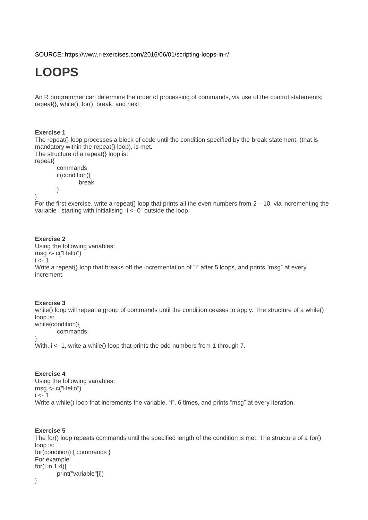SOURCE: https://www.r-exercises.com/2016/06/01/scripting-loops-in-r/

# **LOOPS**

An R programmer can determine the order of processing of commands, via use of the control statements; repeat{}, while(), for(), break, and next

#### **Exercise 1**

The repeat{} loop processes a block of code until the condition specified by the break statement, (that is mandatory within the repeat{} loop), is met.

The structure of a repeat{} loop is:

repeat{

```
commands
if(condition){
       break
```
}

For the first exercise, write a repeat{} loop that prints all the even numbers from  $2 - 10$ , via incrementing the variable i starting with initialising "i <- 0" outside the loop.

## **Exercise 2**

}

Using the following variables: msg <- c("Hello")  $i < -1$ Write a repeat<sup>{}</sup> loop that breaks off the incrementation of "i" after 5 loops, and prints "msg" at every increment.

#### **Exercise 3**

while() loop will repeat a group of commands until the condition ceases to apply. The structure of a while() loop is: while(condition){

commands

}

With,  $i < -1$ , write a while() loop that prints the odd numbers from 1 through 7.

## **Exercise 4**

Using the following variables: msg <- c("Hello")  $i < -1$ Write a while() loop that increments the variable, "i", 6 times, and prints "msq" at every iteration.

#### **Exercise 5**

The for() loop repeats commands until the specified length of the condition is met. The structure of a for() loop is: for(condition) { commands } For example: for(i in  $1:4$ ){ print("variable"[i])

}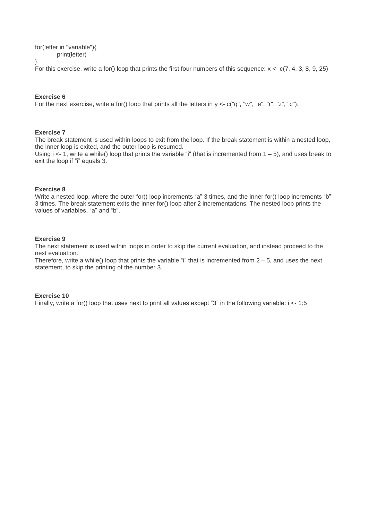for(letter in "variable"){ print(letter) }

For this exercise, write a for() loop that prints the first four numbers of this sequence:  $x < c(7, 4, 3, 8, 9, 25)$ 

## **Exercise 6**

For the next exercise, write a for() loop that prints all the letters in  $y < -c$  ("q", "w", "e", "r", "z", "c").

### **Exercise 7**

The break statement is used within loops to exit from the loop. If the break statement is within a nested loop, the inner loop is exited, and the outer loop is resumed.

Using  $i \leq -1$ , write a while() loop that prints the variable "i" (that is incremented from  $1 - 5$ ), and uses break to exit the loop if "i" equals 3.

#### **Exercise 8**

Write a nested loop, where the outer for() loop increments "a" 3 times, and the inner for() loop increments "b" 3 times. The break statement exits the inner for() loop after 2 incrementations. The nested loop prints the values of variables, "a" and "b".

#### **Exercise 9**

The next statement is used within loops in order to skip the current evaluation, and instead proceed to the next evaluation.

Therefore, write a while() loop that prints the variable "i" that is incremented from  $2 - 5$ , and uses the next statement, to skip the printing of the number 3.

#### **Exercise 10**

Finally, write a for() loop that uses next to print all values except "3" in the following variable: i <- 1:5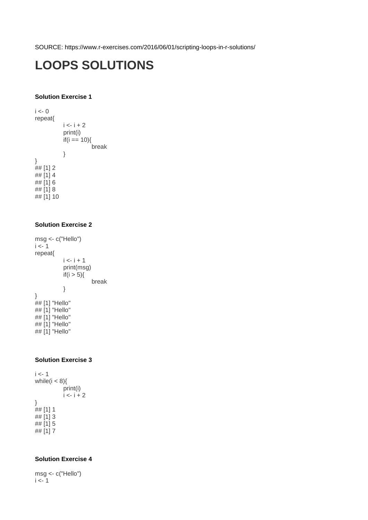SOURCE: https://www.r-exercises.com/2016/06/01/scripting-loops-in-r-solutions/

# **LOOPS SOLUTIONS**

## **Solution Exercise 1**

 $i < -0$ repeat{  $i < -i + 2$ print(i)  $if(i == 10)$  break } }  $## [1] 2$  $\#$  [1] 4 ## [1] 6 ## [1] 8 ## [1] 10

## **Solution Exercise 2**

msg <- c("Hello")  $i < -1$ repeat{  $i < -i + 1$ print(msg) if( $i > 5$ ){ break } }  $##$  [1] "Hello" ## [1] "Hello" ## [1] "Hello" ## [1] "Hello" ## [1] "Hello"

## **Solution Exercise 3**

 $i < -1$ while $(i < 8)$ { print(i)  $i \leq i + 2$ }  $## [1] 1$  $\#$  [1] 3  $\#$   $[1]$  5  $\#$   $[1]$  7

## **Solution Exercise 4**

msg <- c("Hello")  $i < -1$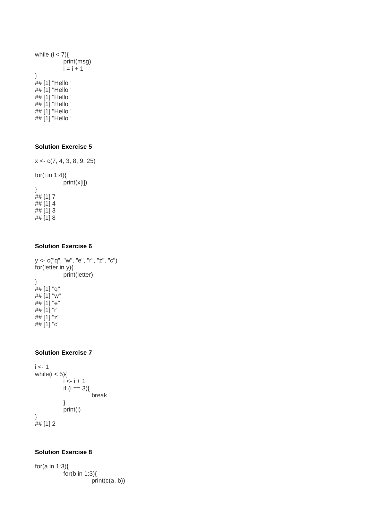```
while (i < 7){
           print(msg)
           i = i + 1}
## [1] "Hello"
## [1] "Hello"
## [1] "Hello"
## [1] "Hello"
## [1] "Hello"
## [1] "Hello"
```
 $x < c(7, 4, 3, 8, 9, 25)$ for(i in 1:4){ print(x[i]) }  $## [1] 7$  $\#$  [1] 4 ## [1] 3  $\#$  [1] 8

### **Solution Exercise 6**

y <- c("q", "w", "e", "r", "z", "c") for(letter in y){ print(letter) } ## [1] "q" ## [1] "w" ## [1] "e" ## [1] "r"  $\#$ # $[1]$  "z"  $\#$   $[1]$  "c"

## **Solution Exercise 7**

```
i < -1while(i < 5){
             i \leq i + 1if (i == 3){
                          break
             }
             print(i)
}
\frac{1}{4} [1] 2
```
## **Solution Exercise 8**

for(a in 1:3){ for(b in 1:3) $\{$ print(c(a, b))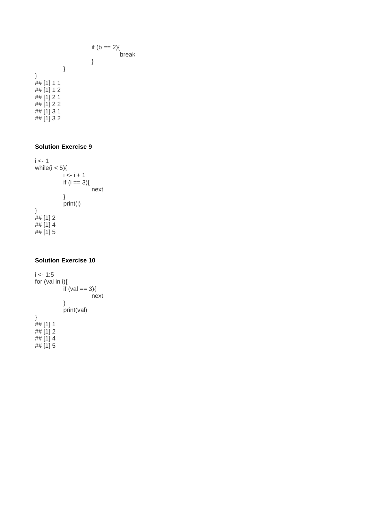```
if (b == 2){
                                   break
                       }
            }
## [1] 1 1
## [1] 1 2
## [1] 2 1
## [1] 2 2
## [1] 3 1
```
## [1] 3 2

}

## **Solution Exercise 9**

```
i < -1while(i < 5){
           i < i + 1if (i == 3){
                      next
           }
           print(i)
}
## [1] 2
## [1] 4
## [1] 5
```
## **Solution Exercise 10**

```
i < -1:5for (val in i){
           if (val == 3){
                      next
           }
            print(val)
}
##[1] 1
\# [1] 2
## [1] 4
## [1] 5
```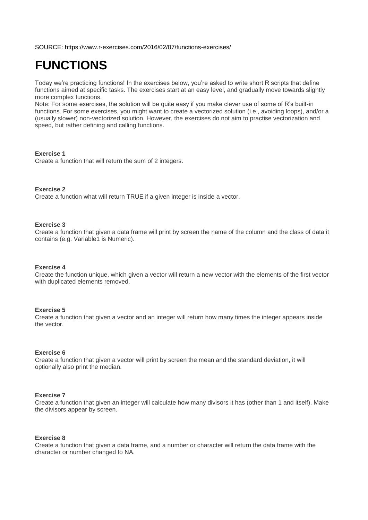SOURCE: https://www.r-exercises.com/2016/02/07/functions-exercises/

# **FUNCTIONS**

Today we're practicing functions! In the exercises below, you're asked to write short R scripts that define functions aimed at specific tasks. The exercises start at an easy level, and gradually move towards slightly more complex functions.

Note: For some exercises, the solution will be quite easy if you make clever use of some of R's built-in functions. For some exercises, you might want to create a vectorized solution (i.e., avoiding loops), and/or a (usually slower) non-vectorized solution. However, the exercises do not aim to practise vectorization and speed, but rather defining and calling functions.

#### **Exercise 1**

Create a function that will return the sum of 2 integers.

#### **Exercise 2**

Create a function what will return TRUE if a given integer is inside a vector.

#### **Exercise 3**

Create a function that given a data frame will print by screen the name of the column and the class of data it contains (e.g. Variable1 is Numeric).

#### **Exercise 4**

Create the function unique, which given a vector will return a new vector with the elements of the first vector with duplicated elements removed.

#### **Exercise 5**

Create a function that given a vector and an integer will return how many times the integer appears inside the vector.

#### **Exercise 6**

Create a function that given a vector will print by screen the mean and the standard deviation, it will optionally also print the median.

## **Exercise 7**

Create a function that given an integer will calculate how many divisors it has (other than 1 and itself). Make the divisors appear by screen.

## **Exercise 8**

Create a function that given a data frame, and a number or character will return the data frame with the character or number changed to NA.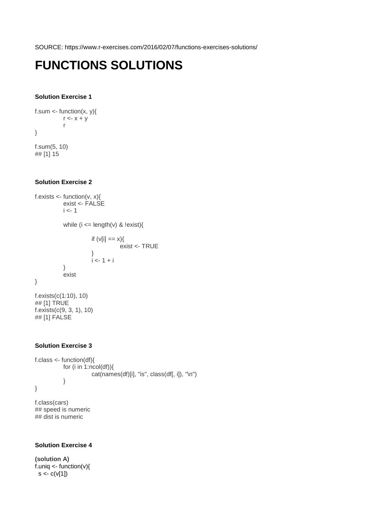SOURCE: https://www.r-exercises.com/2016/02/07/functions-exercises-solutions/

# **FUNCTIONS SOLUTIONS**

## **Solution Exercise 1**

```
f.sum \lt- function(x, y){
          r < x + yr
}
f.sum(5, 10)
```
## [1] 15

## **Solution Exercise 2**

```
f.exists <- function(v, x){
          exist <- FALSE
          i < -1while (i \leq length(v) \& !exist){
                    if (v[i] == x){
                              exist <- TRUE
 }
                    i \leq -1 + i }
           exist
}
f.exists(c(1:10), 10)
## [1] TRUE
f.exists(c(9, 3, 1), 10)
## [1] FALSE
```
## **Solution Exercise 3**

```
f.class <- function(df){
           for (i in 1:ncol(df)){
                       cat(names(df[i], "is", class(df[i, i]), "h") }
}
```
f.class(cars) ## speed is numeric ## dist is numeric

## **Solution Exercise 4**

**(solution A)**  $f.$ uniq  $\lt$ - function(v){  $s < c(v[1])$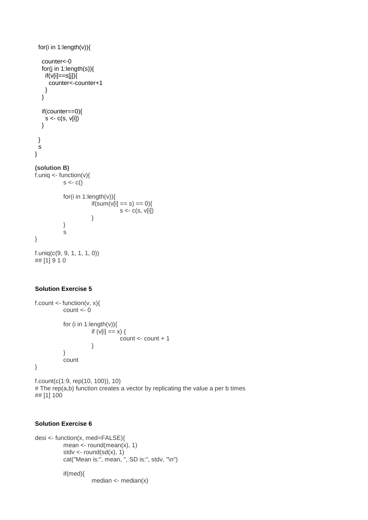```
 for(i in 1:length(v)){
   counter<-0
   for(j in 1:length(s)){
   if(v[i]==s[i]) counter<-counter+1
    } 
   }
   if(counter==0){
   s < c(s, v[i]) }
  }
  s
}
(solution B)
f.uniq \lt- function(v){
          s < c()for(i in 1:length(v)){
                     if(sum(v[i] == s) == 0)s < c(s, v[i]) }
            }
            s
}
f.uniq(c(9, 9, 1, 1, 1, 0))
## [1] 9 1 0
```

```
f.count \lt- function(v, x){
         count < 0for (i in 1:length(v)){
                   if (v[i] == x) {
                             count <- count + 1
 }
          }
          count
}
```
f.count(c(1:9, rep(10, 100)), 10) # The rep(a,b) function creates a vector by replicating the value a per b times ## [1] 100

## **Solution Exercise 6**

```
desi <- function(x, med=FALSE){
          mean \lt- round(mean(x), 1)
          stdv \lt- round(sd(x), 1)
          cat("Mean is:", mean, ", SD is:", stdv, "\n")
          if(med){
                      median <- median(x)
```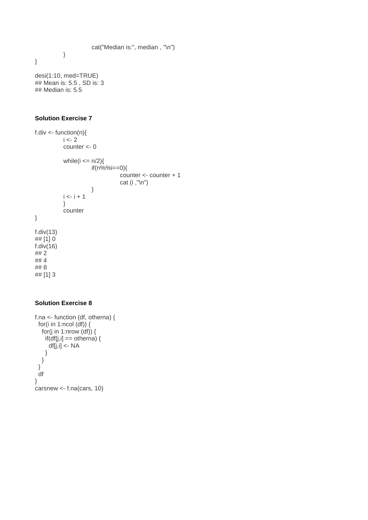```
 cat("Median is:", median , "\n")
 }
```
}

desi(1:10, med=TRUE) ## Mean is: 5.5 , SD is: 3 ## Median is: 5.5

## **Solution Exercise 7**

f.div  $\langle$ - function(n){  $i < -2$ counter <- 0 while( $i \leq n/2$ ){ if(n%%i==0){ counter <- counter + 1 cat (i ,"\n") }  $i < -i + 1$  } counter } f.div(13) ## [1] 0 f.div(16) ## 2 ## 4 ## 8 ## [1] 3

## **Solution Exercise 8**

```
f.na <- function (df, otherna) {
 for(i in 1:ncol (df)) \{ for(j in 1:nrow (df)) {
    if(df[j,i] == other in a) {
      df[j,i] <- NA
     }
   }
  }
  df
}
carsnew <- f.na(cars, 10)
```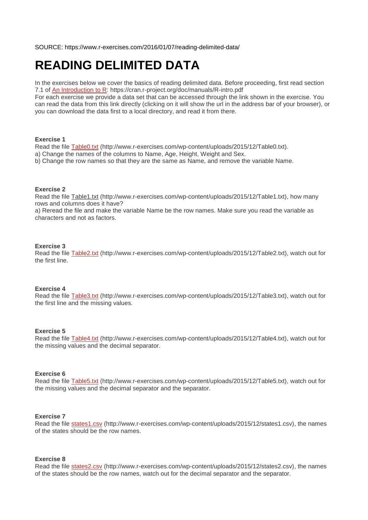SOURCE: https://www.r-exercises.com/2016/01/07/reading-delimited-data/

# **READING DELIMITED DATA**

In the exercises below we cover the basics of reading delimited data. Before proceeding, first read section 7.1 of [An Introduction to R:](https://cran.r-project.org/doc/manuals/R-intro.pdf) https://cran.r-project.org/doc/manuals/R-intro.pdf

For each exercise we provide a data set that can be accessed through the link shown in the exercise. You can read the data from this link directly (clicking on it will show the url in the address bar of your browser), or you can download the data first to a local directory, and read it from there.

#### **Exercise 1**

Read the file [Table0.txt](http://www.r-exercises.com/wp-content/uploads/2015/12/Table0.txt) (http://www.r-exercises.com/wp-content/uploads/2015/12/Table0.txt).

a) Change the names of the columns to Name, Age, Height, Weight and Sex.

b) Change the row names so that they are the same as Name, and remove the variable Name.

#### **Exercise 2**

Read the file [Table1.txt](http://www.r-exercises.com/wp-content/uploads/2015/12/Table1.txt) (http://www.r-exercises.com/wp-content/uploads/2015/12/Table1.txt), how many rows and columns does it have?

a) Reread the file and make the variable Name be the row names. Make sure you read the variable as characters and not as factors.

#### **Exercise 3**

Read the file [Table2.txt](http://www.r-exercises.com/wp-content/uploads/2015/12/Table2.txt) (http://www.r-exercises.com/wp-content/uploads/2015/12/Table2.txt), watch out for the first line.

### **Exercise 4**

Read the file [Table3.txt](http://www.r-exercises.com/wp-content/uploads/2015/12/Table3.txt) (http://www.r-exercises.com/wp-content/uploads/2015/12/Table3.txt), watch out for the first line and the missing values.

#### **Exercise 5**

Read the file **Table4.txt** (http://www.r-exercises.com/wp-content/uploads/2015/12/Table4.txt), watch out for the missing values and the decimal separator.

#### **Exercise 6**

Read the file [Table5.txt](http://www.r-exercises.com/wp-content/uploads/2015/12/Table5.txt) (http://www.r-exercises.com/wp-content/uploads/2015/12/Table5.txt), watch out for the missing values and the decimal separator and the separator.

#### **Exercise 7**

Read the file [states1.csv](http://www.r-exercises.com/wp-content/uploads/2015/12/states1.csv) (http://www.r-exercises.com/wp-content/uploads/2015/12/states1.csv), the names of the states should be the row names.

#### **Exercise 8**

Read the file [states2.csv](http://www.r-exercises.com/wp-content/uploads/2015/12/states2.csv) (http://www.r-exercises.com/wp-content/uploads/2015/12/states2.csv), the names of the states should be the row names, watch out for the decimal separator and the separator.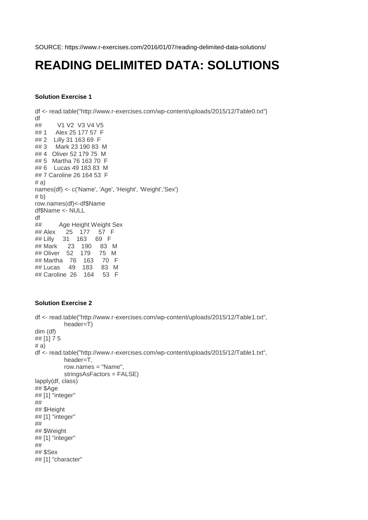SOURCE: https://www.r-exercises.com/2016/01/07/reading-delimited-data-solutions/

# **READING DELIMITED DATA: SOLUTIONS**

## **Solution Exercise 1**

df <- read.table("http://www.r-exercises.com/wp-content/uploads/2015/12/Table0.txt") df<br>## V1 V2 V3 V4 V5 ## 1 Alex 25 177 57 F ## 2 Lilly 31 163 69 F ## 3 Mark 23 190 83 M ## 4 Oliver 52 179 75 M ## 5 Martha 76 163 70 F ## 6 Lucas 49 183 83 M ## 7 Caroline 26 164 53 F  $# a$ names(df) <- c('Name', 'Age', 'Height', 'Weight','Sex') # b) row.names(df)<-df\$Name df\$Name <- NULL df ## Age Height Weight Sex ## Alex 25 177 57 F ## Lilly 31 163 69 F ## Mark 23 190 83 M ## Oliver 52 179 75 M ## Martha 76 163 70 F ## Lucas 49 183 83 M ## Caroline 26 164 53 F

## **Solution Exercise 2**

```
df <- read.table("http://www.r-exercises.com/wp-content/uploads/2015/12/Table1.txt",
           header=T)
dim (df)
## [1] 7 5
# a)df <- read.table("http://www.r-exercises.com/wp-content/uploads/2015/12/Table1.txt",
           header=T,
           row.names = "Name",
           stringsAsFactors = FALSE)
lapply(df, class)
## $Age
## [1] "integer"
## 
## $Height
## [1] "integer"
## 
## $Weight
## [1] "integer"
## 
## $Sex
## [1] "character"
```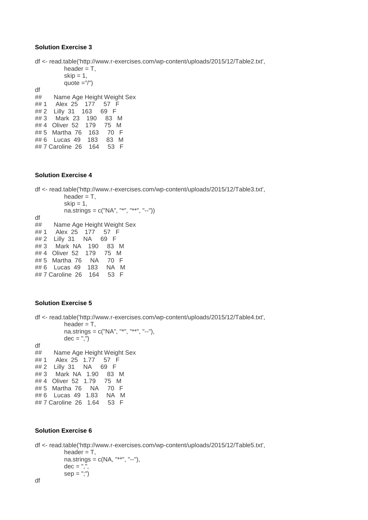df <- read.table('http://www.r-exercises.com/wp-content/uploads/2015/12/Table2.txt', header  $=$  T,  $skip = 1,$ quote  $=$ "/") df ## Name Age Height Weight Sex ## 1 Alex 25 177 57 F ## 2 Lilly 31 163 69 F ## 3 Mark 23 190 83 M ## 4 Oliver 52 179 75 M ## 5 Martha 76 163 70 F ## 6 Lucas 49 183 83 M ## 7 Caroline 26 164 53 F

### **Solution Exercise 4**

df <- read.table('http://www.r-exercises.com/wp-content/uploads/2015/12/Table3.txt', header  $= T$ ,  $skip = 1,$  na.strings = c("NA", "\*", "\*\*", "--")) df ## Name Age Height Weight Sex ## 1 Alex 25 177 57 F  $\frac{1}{2}$   $\frac{1}{2}$   $\frac{1}{2}$   $\frac{1}{2}$   $\frac{1}{2}$   $\frac{1}{2}$   $\frac{1}{2}$   $\frac{1}{2}$   $\frac{1}{2}$   $\frac{1}{2}$   $\frac{1}{2}$   $\frac{1}{2}$   $\frac{1}{2}$   $\frac{1}{2}$   $\frac{1}{2}$   $\frac{1}{2}$   $\frac{1}{2}$   $\frac{1}{2}$   $\frac{1}{2}$   $\frac{1}{2}$   $\frac{1}{2}$   $\frac{1}{2}$  ## 3 Mark NA 190 83 M ## 4 Oliver 52 179 75 M ## 5 Martha 76 NA 70 F ## 6 Lucas 49 183 NA M ## 7 Caroline 26 164 53 F

## **Solution Exercise 5**

```
df <- read.table('http://www.r-exercises.com/wp-content/uploads/2015/12/Table4.txt',
         header = T,
         na.strings = c("NA", "***", "--"),dec = ",")df
## Name Age Height Weight Sex
## 1 Alex 25 1.77 57 F
## 2 Lilly 31 NA 69 F
## 3 Mark NA 1.90 83 M
## 4 Oliver 52 1.79 75 M
## 5 Martha 76 NA 70 F
## 6 Lucas 49 1.83 NA M
## 7 Caroline 26 1.64 53 F
```
## **Solution Exercise 6**

```
df <- read.table('http://www.r-exercises.com/wp-content/uploads/2015/12/Table5.txt',
          header = T,
          na.strings = c(NA, "***", "-"),
          dec = ","sep = ";")df
```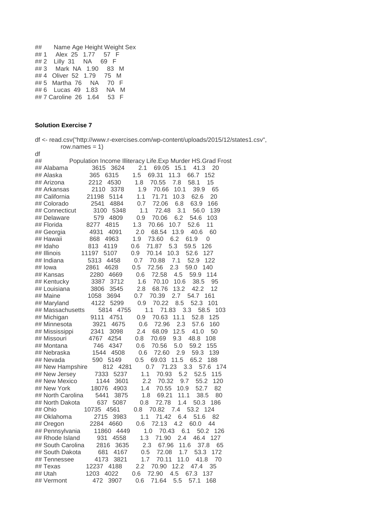```
## Name Age Height Weight Sex
## 1 Alex 25 1.77 57 F
## 2 Lilly 31 NA 69 F
## 3 Mark NA 1.90 83 M
## 4 Oliver 52 1.79 75 M
## 5 Martha 76 NA 70 F
## 6 Lucas 49 1.83 NA M
## 7 Caroline 26 1.64 53 F
```

|             | row.names = $1$ ) |                                                              |     |
|-------------|-------------------|--------------------------------------------------------------|-----|
| df          |                   |                                                              |     |
| ##          |                   | Population Income Illiteracy Life. Exp Murder HS. Grad Frost |     |
|             | ## Alabama        | 3624<br>2.1<br>69.05<br>15.1<br>3615<br>41.3<br>20           |     |
| ## Alaska   |                   | 365<br>1.5<br>69.31<br>11.3<br>6315<br>66.7<br>152           |     |
|             | ## Arizona        | 4530<br>2212<br>1.8<br>70.55<br>7.8<br>58.1<br>15            |     |
|             | ## Arkansas       | 2110<br>3378<br>1.9<br>70.66<br>10.1<br>39.9<br>65           |     |
|             | ## California     | 1.1<br>71.71<br>62.6<br>21198<br>5114<br>10.3<br>20          |     |
|             | ## Colorado       | 0.7<br>72.06<br>6.8<br>63.9<br>166<br>2541<br>4884           |     |
|             | ## Connecticut    | 1.1<br>3.1<br>3100<br>5348<br>72.48<br>56.0<br>139           |     |
|             | ## Delaware       | 6.2<br>54.6<br>579<br>4809<br>0.9<br>70.06<br>103            |     |
| ## Florida  |                   | 4815<br>1.3<br>10.7<br>52.6<br>11<br>8277<br>70.66           |     |
|             | ## Georgia        | 2.0<br>68.54<br>13.9<br>4931<br>4091<br>40.6<br>60           |     |
| ## Hawaii   |                   | 73.60<br>6.2<br>61.9<br>868<br>4963<br>1.9<br>0              |     |
| ## Idaho    |                   | 71.87<br>5.3<br>59.5<br>813<br>4119<br>0.6<br>126            |     |
| ## Illinois |                   | 11197<br>5107<br>0.9<br>70.14<br>10.3<br>52.6<br>127         |     |
|             | ## Indiana        | 5313<br>4458<br>70.88<br>7.1<br>52.9<br>122<br>0.7           |     |
| ## lowa     |                   | 2.3<br>2861<br>4628<br>0.5<br>72.56<br>59.0<br>140           |     |
|             | ## Kansas         | 2280<br>4669<br>0.6<br>72.58<br>4.5<br>59.9<br>114           |     |
|             | ## Kentucky       | 3387<br>3712<br>1.6<br>70.10<br>10.6<br>38.5<br>95           |     |
|             | ## Louisiana      | 13.2<br>3806<br>3545<br>2.8<br>68.76<br>42.2<br>12           |     |
| ## Maine    |                   | 1058<br>3694<br>0.7<br>70.39<br>2.7<br>54.7<br>161           |     |
|             | ## Maryland       | 4122<br>5299<br>70.22<br>8.5<br>52.3<br>0.9<br>101           |     |
|             | ## Massachusetts  | 5814<br>1.1<br>71.83<br>3.3<br>58.5<br>4755                  | 103 |
|             | ## Michigan       | 52.8<br>9111<br>4751<br>0.9<br>70.63<br>11.1<br>125          |     |
|             | ## Minnesota      | 72.96<br>2.3<br>3921<br>4675<br>0.6<br>57.6<br>160           |     |
|             | ## Mississippi    | 12.5<br>2341<br>3098<br>2.4<br>68.09<br>41.0<br>50           |     |
|             | ## Missouri       | 4767<br>4254<br>0.8<br>70.69<br>9.3<br>48.8<br>108           |     |
|             | ## Montana        | 5.0<br>746<br>4347<br>0.6<br>70.56<br>59.2<br>155            |     |
|             | ## Nebraska       | 1544<br>4508<br>0.6<br>72.60<br>2.9<br>59.3<br>139           |     |
|             | ## Nevada         | 590<br>5149<br>0.5<br>69.03<br>11.5<br>65.2<br>188           |     |
|             | ## New Hampshire  | 812<br>4281<br>0.7<br>71.23<br>3.3<br>57.6                   | 174 |
|             | ## New Jersey     | 7333<br>1.1<br>70.93<br>5.2<br>52.5<br>5237<br>115           |     |
|             | ## New Mexico     | 2.2<br>55.2<br>1144<br>3601<br>70.32<br>9.7<br>120           |     |
|             | ## New York       | 52.7<br>4903<br>70.55<br>10.9<br>82<br>18076<br>1.4          |     |
|             | ## North Carolina | 69.21<br>5441<br>3875<br>1.8<br>11.1<br>38.5<br>80           |     |
|             | ## North Dakota   | 72.78<br>637<br>5087<br>0.8<br>1.4<br>50.3<br>186            |     |
| ## Ohio     |                   | 53.2<br>124<br>10735<br>4561<br>0.8<br>70.82<br>7.4          |     |
|             | ## Oklahoma       | 2715<br>3983<br>1.1<br>71.42<br>51.6<br>6.4<br>82            |     |
|             | ## Oregon         | 72.13<br>4.2<br>2284 4660<br>0.6<br>60.0<br>44               |     |
|             | ## Pennsylvania   | 70.43<br>11860<br>4449<br>1.0<br>6.1<br>50.2<br>126          |     |
|             | ## Rhode Island   | 931<br>4558<br>1.3<br>71.90<br>2.4<br>46.4<br>127            |     |
|             | ## South Carolina | 67.96<br>11.6<br>37.8<br>2816<br>3635<br>2.3                 | 65  |
|             | ## South Dakota   | 4167<br>0.5<br>53.3<br>681<br>72.08<br>1.7<br>172            |     |
|             | ## Tennessee      | 4173<br>1.7<br>70.11<br>11.0<br>41.8<br>70<br>3821           |     |
| ## Texas    |                   | 12237 4188<br>70.90<br>2.2<br>12.2<br>47.4<br>35             |     |
| ## Utah     |                   | 1203 4022<br>72.90<br>4.5<br>0.6<br>67.3 137                 |     |
|             | ## Vermont        | 472<br>3907<br>71.64<br>5.5<br>57.1<br>0.6<br>168            |     |
|             |                   |                                                              |     |

df <- read.csv("http://www.r-exercises.com/wp-content/uploads/2015/12/states1.csv",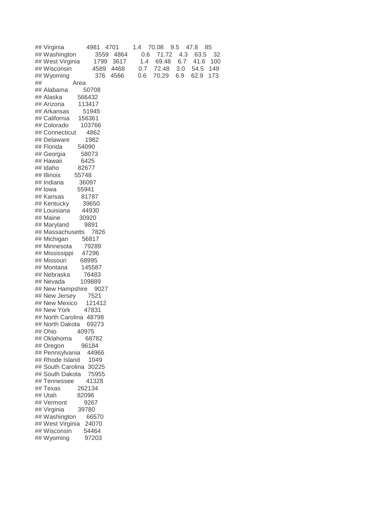| ## Virginia<br>4981<br>4701      | 1.4<br>70.08<br>9.5<br>47.8<br>85  |
|----------------------------------|------------------------------------|
| ## Washington<br>3559<br>4864    | 71.72<br>4.3<br>63.5<br>0.6<br>32  |
| ## West Virginia<br>1799<br>3617 | 6.7<br>1.4<br>69.48<br>41.6<br>100 |
| ## Wisconsin<br>4589<br>4468     | 0.7<br>72.48<br>3.0<br>54.5<br>149 |
| ## Wyoming<br>376<br>4566        | 70.29<br>6.9<br>62.9<br>173<br>0.6 |
| ##<br>Area                       |                                    |
| ## Alabama<br>50708              |                                    |
| ## Alaska<br>566432              |                                    |
| ## Arizona<br>113417             |                                    |
| ## Arkansas<br>51945             |                                    |
| ## California<br>156361          |                                    |
| ## Colorado<br>103766            |                                    |
| ## Connecticut<br>4862           |                                    |
| ## Delaware<br>1982              |                                    |
| ## Florida<br>54090              |                                    |
| ## Georgia<br>58073              |                                    |
| ## Hawaii<br>6425                |                                    |
| ## Idaho<br>82677                |                                    |
| ## Illinois<br>55748             |                                    |
| ## Indiana<br>36097              |                                    |
| ## lowa<br>55941                 |                                    |
| ## Kansas<br>81787               |                                    |
| ## Kentucky<br>39650             |                                    |
| 44930<br>## Louisiana            |                                    |
| ## Maine<br>30920                |                                    |
| 9891<br>## Maryland              |                                    |
| ## Massachusetts<br>7826         |                                    |
| ## Michigan<br>56817             |                                    |
| ## Minnesota<br>79289            |                                    |
| 47296<br>## Mississippi          |                                    |
| ## Missouri<br>68995             |                                    |
| ## Montana<br>145587             |                                    |
| ## Nebraska<br>76483             |                                    |
| ## Nevada<br>109889              |                                    |
| ## New Hampshire<br>9027         |                                    |
| 7521<br>## New Jersey            |                                    |
| ## New Mexico<br>121412          |                                    |
| ## New York<br>47831             |                                    |
| ## North Carolina 48798          |                                    |
| ## North Dakota<br>69273         |                                    |
| ## Ohio<br>40975                 |                                    |
| ## Oklahoma<br>68782             |                                    |
| 96184<br>## Oregon               |                                    |
| ## Pennsylvania<br>44966         |                                    |
| ## Rhode Island<br>1049          |                                    |
| ## South Carolina 30225          |                                    |
| ## South Dakota<br>75955         |                                    |
| 41328<br>## Tennessee            |                                    |
| ## Texas<br>262134               |                                    |
| ## Utah<br>82096                 |                                    |
| ## Vermont<br>9267               |                                    |
| ## Virginia<br>39780             |                                    |
| ## Washington<br>66570           |                                    |
| ## West Virginia<br>24070        |                                    |
| ## Wisconsin<br>54464            |                                    |
| ## Wyoming<br>97203              |                                    |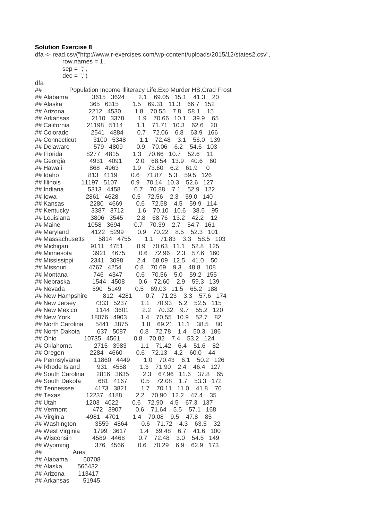dfa <- read.csv("http://www.r-exercises.com/wp-content/uploads/2015/12/states2.csv",

 row.names = 1,  $sep = ";",$  $dec = ",")$ 

| dfa                                                               |                                                              |
|-------------------------------------------------------------------|--------------------------------------------------------------|
| ##                                                                | Population Income Illiteracy Life. Exp Murder HS. Grad Frost |
| 3615 3624<br>## Alabama                                           | 2.1 69.05 15.1<br>41.3<br>20                                 |
| 365<br>6315<br>## Alaska                                          | 69.31<br>1.5<br>11.3<br>66.7<br>152                          |
| 2212<br>4530<br>## Arizona                                        | 70.55<br>1.8<br>7.8<br>58.1<br>15                            |
| 2110<br>3378<br>## Arkansas                                       | 1.9<br>70.66<br>10.1<br>65<br>39.9                           |
| ## California<br>21198<br>5114                                    | 1.1<br>71.71<br>10.3<br>62.6<br>20                           |
| 2541<br>## Colorado<br>4884                                       | 0.7<br>72.06<br>6.8<br>63.9<br>166                           |
| ## Connecticut<br>3100<br>5348                                    | 72.48<br>3.1<br>1.1<br>56.0<br>139                           |
| 579<br>4809<br>## Delaware                                        | 6.2<br>0.9<br>70.06<br>54.6<br>103                           |
| 4815<br>## Florida<br>8277                                        | 1.3<br>70.66<br>10.7<br>52.6<br>11                           |
| ## Georgia<br>4931<br>4091                                        | 2.0<br>13.9<br>68.54<br>40.6<br>60                           |
| ## Hawaii<br>868<br>4963                                          | 6.2<br>1.9<br>73.60<br>61.9<br>0                             |
| 813<br>## Idaho<br>4119                                           | 71.87<br>5.3<br>59.5<br>0.6<br>126                           |
| 11197<br>## Illinois<br>5107                                      | 70.14<br>10.3<br>52.6<br>0.9<br>127                          |
| ## Indiana<br>5313<br>4458                                        | 7.1<br>52.9<br>122<br>0.7<br>70.88                           |
| 4628<br>## lowa<br>2861                                           | 0.5<br>72.56<br>2.3<br>59.0<br>140                           |
| ## Kansas<br>2280<br>4669                                         | 72.58<br>4.5<br>59.9<br>0.6<br>- 114                         |
| ## Kentucky<br>3387<br>3712                                       | 10.6<br>38.5<br>1.6<br>70.10<br>95                           |
| ## Louisiana<br>3806<br>3545                                      | 13.2<br>2.8<br>68.76<br>42.2<br>12                           |
| ## Maine<br>1058<br>3694                                          | 0.7<br>2.7<br>70.39<br>54.7<br>161                           |
| ## Maryland<br>4122<br>5299                                       | 52.3<br>0.9<br>70.22<br>8.5<br>101                           |
| ## Massachusetts<br>5814 4755                                     | 1.1<br>71.83<br>3.3<br>58.5<br>103                           |
| ## Michigan<br>9111<br>4751                                       | 70.63<br>0.9<br>11.1<br>52.8<br>125                          |
| 4675<br>## Minnesota<br>3921                                      | 2.3<br>0.6<br>72.96<br>57.6<br>160                           |
| ## Mississippi<br>2341<br>3098                                    | 12.5<br>2.4<br>68.09<br>41.0<br>50                           |
| 4767<br>4254<br>## Missouri                                       | 70.69<br>9.3<br>0.8<br>48.8<br>108                           |
| 746<br>## Montana<br>4347                                         | 70.56<br>5.0<br>59.2<br>0.6<br>155                           |
| 1544<br>## Nebraska<br>4508                                       | 72.60<br>2.9<br>59.3<br>0.6<br>139                           |
| 590 5149<br>## Nevada                                             | 11.5<br>65.2<br>0.5<br>69.03<br>188                          |
| 812 4281<br>## New Hampshire                                      | 0.7<br>71.23<br>3.3<br>57.6<br>174                           |
| ## New Jersey<br>7333<br>5237                                     | 5.2<br>1.1<br>70.93<br>52.5<br>115                           |
| ## New Mexico<br>1144<br>3601                                     | 2.2<br>70.32<br>9.7<br>55.2<br>120                           |
| 18076<br>## New York<br>4903                                      | 70.55<br>10.9<br>52.7<br>82<br>1.4                           |
| 5441<br>## North Carolina<br>3875                                 | 11.1<br>1.8<br>69.21<br>38.5<br>80                           |
| ## North Dakota<br>637<br>5087                                    | 0.8<br>72.78<br>1.4<br>50.3<br>186                           |
| ## Ohio<br>10735 4561                                             | 53.2<br>0.8<br>70.82<br>7.4<br>124                           |
| ## Oklahoma<br>3983<br>2715                                       | 71.42<br>51.6<br>1.1<br>6.4<br>82                            |
| ## Oregon<br>2284<br>4660                                         | 72.13<br>4.2<br>44<br>0.6<br>60.0                            |
| ## Pennsylvania<br>11860 4449                                     | 70.43<br>6.1<br>1.0<br>50.2<br>126                           |
| ## Rhode Island<br>931<br>4558                                    | 1.3<br>71.90<br>2.4<br>46.4<br>127                           |
| ## South Carolina<br>3635<br>2816                                 | 11.6<br>2.3<br>67.96<br>37.8<br>65                           |
| ## South Dakota<br>681<br>4167                                    | 72.08<br>1.7<br>53.3<br>0.5<br>172                           |
| ## Tennessee<br>4173<br>3821                                      | 1.7<br>70.11<br>11.0<br>41.8<br>70                           |
| ## Texas<br>12237 4188                                            | 2.2<br>70.90<br>12.2<br>47.4<br>35                           |
| ## Utah<br>1203<br>4022                                           | 72.90<br>4.5<br>67.3<br>0.6<br>137                           |
| 3907<br>## Vermont<br>472                                         | 71.64<br>5.5<br>57.1<br>0.6<br>168                           |
| ## Virginia<br>4981<br>4701                                       | 70.08<br>9.5<br>47.8<br>1.4<br>85<br>71.72<br>63.5           |
| ## Washington<br>3559<br>4864<br>1799<br>## West Virginia<br>3617 | 4.3<br>0.6<br>32<br>69.48<br>6.7<br>41.6<br>1.4<br>100       |
| 4589 4468<br>## Wisconsin                                         | 0.7<br>72.48<br>3.0<br>54.5<br>149                           |
| 376                                                               | 6.9<br>62.9<br>173                                           |
| ## Wyoming<br>4566<br>##<br>Area                                  | 70.29<br>0.6                                                 |
| ## Alabama<br>50708                                               |                                                              |
| ## Alaska<br>566432                                               |                                                              |
| ## Arizona<br>113417                                              |                                                              |
| ## Arkansas<br>51945                                              |                                                              |
|                                                                   |                                                              |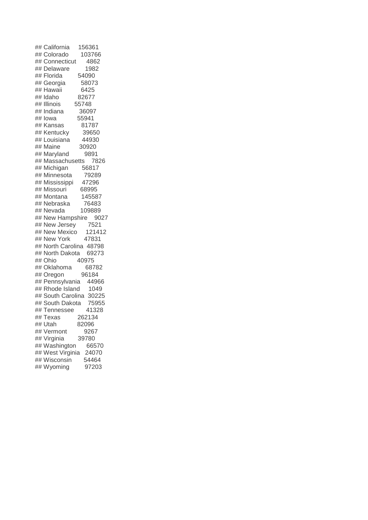| ## California 156361    |        |
|-------------------------|--------|
| ## Colorado             | 103766 |
| ## Connecticut          | 4862   |
| ## Delaware             | 1982   |
| ## Florida              | 54090  |
| ## Georgia              | 58073  |
| ## Hawaii               | 6425   |
| ## Idaho                | 82677  |
| ## Illinois             | 55748  |
| ## Indiana              | 36097  |
| ## lowa                 | 55941  |
| ## Kansas               | 81787  |
| ## Kentucky             | 39650  |
| ## Louisiana            | 44930  |
| ## Maine                | 30920  |
| ## Maryland             | 9891   |
| ## Massachusetts        | 7826   |
| ## Michigan             | 56817  |
| ## Minnesota            | 79289  |
| ## Mississippi          | 47296  |
| ## Missouri             | 68995  |
| ## Montana              | 145587 |
| ## Nebraska             | 76483  |
| ## Nevada               | 109889 |
| ## New Hampshire 9027   |        |
| ## New Jersey           | 7521   |
| ## New Mexico           | 121412 |
| ## New York             | 47831  |
| ## North Carolina 48798 |        |
| ## North Dakota 69273   |        |
| ## Ohio                 | 40975  |
| ## Oklahoma             | 68782  |
| ## Oregon               | 96184  |
| ## Pennsylvania         | 44966  |
| ## Rhode Island         | 1049   |
| ## South Carolina 30225 |        |
| ## South Dakota         | 75955  |
| ## Tennessee            | 41328  |
| ## Texas                | 262134 |
| ## Utah                 | 82096  |
| ## Vermont              | 9267   |
| ## Virginia             | 39780  |
| ## Washington           | 66570  |
| ## West Virginia        | 24070  |
| ## Wisconsin            | 54464  |
| ## Wyoming              | 97203  |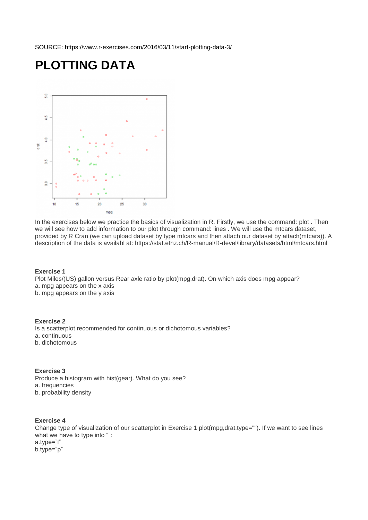SOURCE: https://www.r-exercises.com/2016/03/11/start-plotting-data-3/

# **PLOTTING DATA**



In the exercises below we practice the basics of visualization in R. Firstly, we use the command: plot . Then we will see how to add information to our plot through command: lines . We will use the mtcars dataset, provided by R Cran (we can upload dataset by type mtcars and then attach our dataset by attach(mtcars)). A description of the data is availabl at: https://stat.ethz.ch/R-manual/R-devel/library/datasets/html/mtcars.html

#### **Exercise 1**

Plot Miles/(US) gallon versus Rear axle ratio by plot(mpg,drat). On which axis does mpg appear? a. mpg appears on the x axis b. mpg appears on the y axis

## **Exercise 2**

Is a scatterplot recommended for continuous or dichotomous variables?

- a. continuous
- b. dichotomous

#### **Exercise 3**

Produce a histogram with hist(gear). What do you see? a. frequencies b. probability density

#### **Exercise 4**

Change type of visualization of our scatterplot in Exercise 1 plot(mpg,drat,type=""). If we want to see lines what we have to type into "": a.type="l" b.type="p"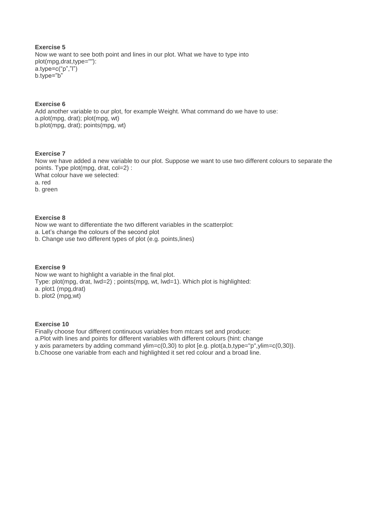## **Exercise 5** Now we want to see both point and lines in our plot. What we have to type into plot(mpg,drat,type=""): a.type=c("p","l") b.type="b"

## **Exercise 6**

Add another variable to our plot, for example Weight. What command do we have to use: a.plot(mpg, drat); plot(mpg, wt) b.plot(mpg, drat); points(mpg, wt)

## **Exercise 7**

Now we have added a new variable to our plot. Suppose we want to use two different colours to separate the points. Type plot(mpg, drat, col=2) : What colour have we selected: a. red b. green

## **Exercise 8**

Now we want to differentiate the two different variables in the scatterplot: a. Let's change the colours of the second plot b. Change use two different types of plot (e.g. points,lines)

#### **Exercise 9**

Now we want to highlight a variable in the final plot. Type: plot(mpg, drat, lwd=2) ; points(mpg, wt, lwd=1). Which plot is highlighted: a. plot1 (mpg,drat) b. plot2 (mpg,wt)

#### **Exercise 10**

Finally choose four different continuous variables from mtcars set and produce: a.Plot with lines and points for different variables with different colours (hint: change y axis parameters by adding command ylim=c(0,30) to plot [e.g. plot(a,b,type="p",ylim=c(0,30)). b.Choose one variable from each and highlighted it set red colour and a broad line.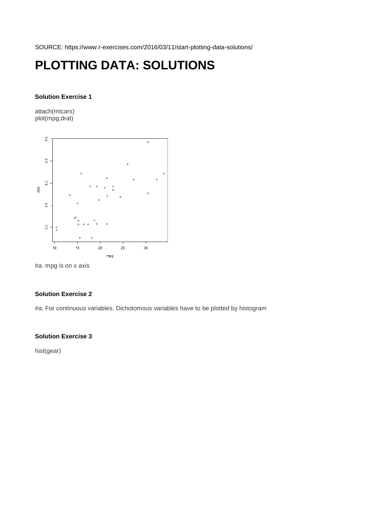SOURCE: https://www.r-exercises.com/2016/03/11/start-plotting-data-solutions/

# **PLOTTING DATA: SOLUTIONS**

#### **Solution Exercise 1**

attach(mtcars) plot(mpg,drat)



#a. mpg is on x axis

## **Solution Exercise 2**

#a. For continuous variables. Dichotomous variables have to be plotted by histogram

## **Solution Exercise 3**

hist(gear)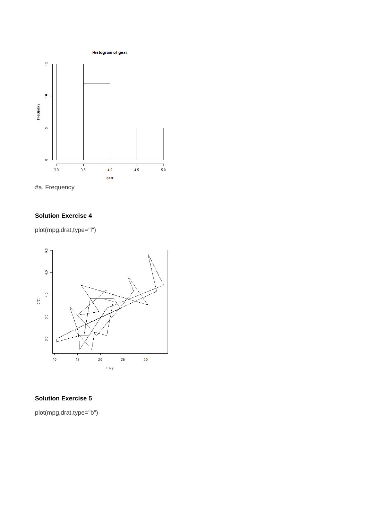





plot(mpg,drat,type="l")



## **Solution Exercise 5**

plot(mpg,drat,type="b")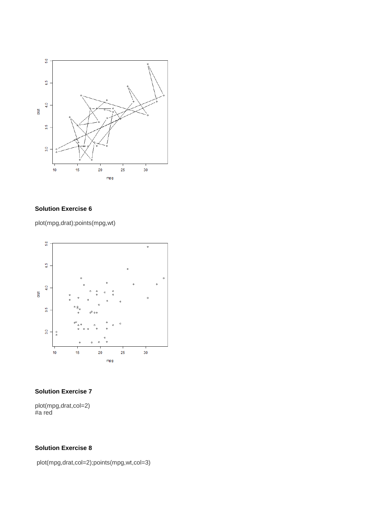

plot(mpg,drat);points(mpg,wt)



## **Solution Exercise 7**

plot(mpg,drat,col=2) #a red

## **Solution Exercise 8**

plot(mpg,drat,col=2);points(mpg,wt,col=3)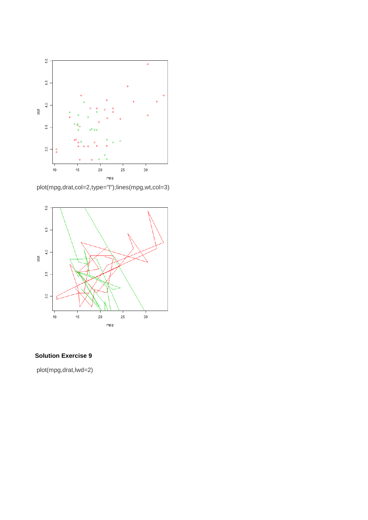

plot(mpg,drat,col=2,type="l");lines(mpg,wt,col=3)



plot(mpg,drat,lwd=2)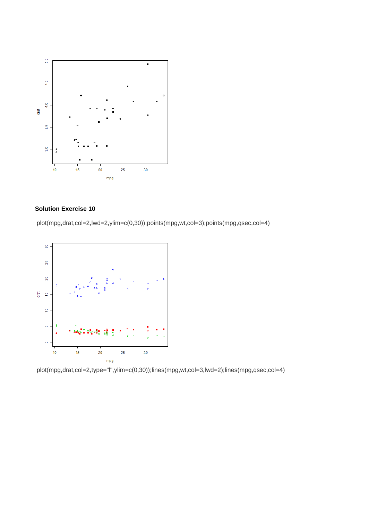

plot(mpg,drat,col=2,lwd=2,ylim=c(0,30));points(mpg,wt,col=3);points(mpg,qsec,col=4)



plot(mpg,drat,col=2,type="l",ylim=c(0,30));lines(mpg,wt,col=3,lwd=2);lines(mpg,qsec,col=4)